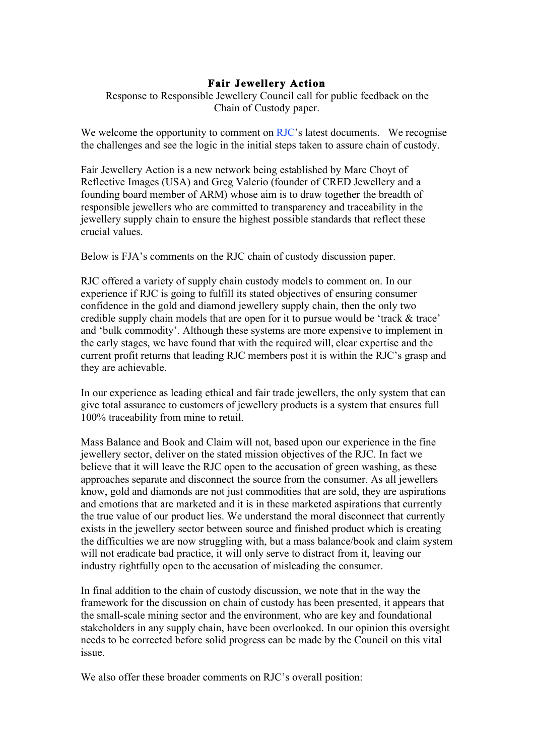## **Fair Jewellery Action**

Response to Responsible Jewellery Council call for public feedback on the Chain of Custody paper.

We welcome the opportunity to comment on RJC's latest documents. We recognise the challenges and see the logic in the initial steps taken to assure chain of custody.

Fair Jewellery Action is a new network being established by Marc Choyt of Reflective Images (USA) and Greg Valerio (founder of CRED Jewellery and a founding board member of ARM) whose aim is to draw together the breadth of responsible jewellers who are committed to transparency and traceability in the jewellery supply chain to ensure the highest possible standards that reflect these crucial values.

Below is FJA's comments on the RJC chain of custody discussion paper.

RJC offered a variety of supply chain custody models to comment on. In our experience if RJC is going to fulfill its stated objectives of ensuring consumer confidence in the gold and diamond jewellery supply chain, then the only two credible supply chain models that are open for it to pursue would be 'track & trace' and 'bulk commodity'. Although these systems are more expensive to implement in the early stages, we have found that with the required will, clear expertise and the current profit returns that leading RJC members post it is within the RJC's grasp and they are achievable.

In our experience as leading ethical and fair trade jewellers, the only system that can give total assurance to customers of jewellery products is a system that ensures full 100% traceability from mine to retail.

Mass Balance and Book and Claim will not, based upon our experience in the fine jewellery sector, deliver on the stated mission objectives of the RJC. In fact we believe that it will leave the RJC open to the accusation of green washing, as these approaches separate and disconnect the source from the consumer. As all jewellers know, gold and diamonds are not just commodities that are sold, they are aspirations and emotions that are marketed and it is in these marketed aspirations that currently the true value of our product lies. We understand the moral disconnect that currently exists in the jewellery sector between source and finished product which is creating the difficulties we are now struggling with, but a mass balance/book and claim system will not eradicate bad practice, it will only serve to distract from it, leaving our industry rightfully open to the accusation of misleading the consumer.

In final addition to the chain of custody discussion, we note that in the way the framework for the discussion on chain of custody has been presented, it appears that the small-scale mining sector and the environment, who are key and foundational stakeholders in any supply chain, have been overlooked. In our opinion this oversight needs to be corrected before solid progress can be made by the Council on this vital issue.

We also offer these broader comments on RJC's overall position: